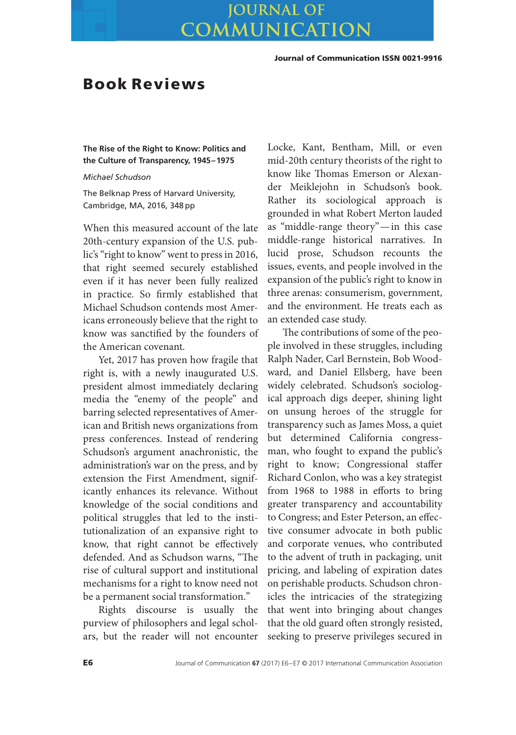## **JOURNAL OF** COMMUNICATION

**Journal of Communication ISSN 0021-9916**

## **Book Reviews**

**The Rise of the Right to Know: Politics and the Culture of Transparency, 1945–1975**

*Michael Schudson*

The Belknap Press of Harvard University, Cambridge, MA, 2016, 348 pp

When this measured account of the late 20th-century expansion of the U.S. public's "right to know" went to press in 2016, that right seemed securely established even if it has never been fully realized in practice. So firmly established that Michael Schudson contends most Americans erroneously believe that the right to know was sanctified by the founders of the American covenant.

Yet, 2017 has proven how fragile that right is, with a newly inaugurated U.S. president almost immediately declaring media the "enemy of the people" and barring selected representatives of American and British news organizations from press conferences. Instead of rendering Schudson's argument anachronistic, the administration's war on the press, and by extension the First Amendment, significantly enhances its relevance. Without knowledge of the social conditions and political struggles that led to the institutionalization of an expansive right to know, that right cannot be effectively defended. And as Schudson warns, "The rise of cultural support and institutional mechanisms for a right to know need not be a permanent social transformation."

Rights discourse is usually the purview of philosophers and legal scholars, but the reader will not encounter

Locke, Kant, Bentham, Mill, or even mid-20th century theorists of the right to know like Thomas Emerson or Alexander Meiklejohn in Schudson's book. Rather its sociological approach is grounded in what Robert Merton lauded as "middle-range theory"—in this case middle-range historical narratives. In lucid prose, Schudson recounts the issues, events, and people involved in the expansion of the public's right to know in three arenas: consumerism, government, and the environment. He treats each as an extended case study.

The contributions of some of the people involved in these struggles, including Ralph Nader, Carl Bernstein, Bob Woodward, and Daniel Ellsberg, have been widely celebrated. Schudson's sociological approach digs deeper, shining light on unsung heroes of the struggle for transparency such as James Moss, a quiet but determined California congressman, who fought to expand the public's right to know; Congressional staffer Richard Conlon, who was a key strategist from 1968 to 1988 in efforts to bring greater transparency and accountability to Congress; and Ester Peterson, an effective consumer advocate in both public and corporate venues, who contributed to the advent of truth in packaging, unit pricing, and labeling of expiration dates on perishable products. Schudson chronicles the intricacies of the strategizing that went into bringing about changes that the old guard often strongly resisted, seeking to preserve privileges secured in